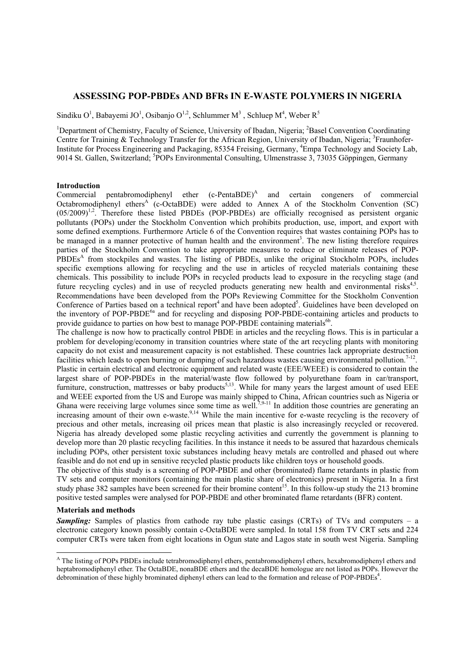# **ASSESSING POP-PBDEs AND BFRs IN E-WASTE POLYMERS IN NIGERIA**

Sindiku O<sup>1</sup>, Babayemi JO<sup>1</sup>, Osibanjo O<sup>1,2</sup>, Schlummer M<sup>3</sup>, Schluep M<sup>4</sup>, Weber R<sup>5</sup>

<sup>1</sup>Department of Chemistry, Faculty of Science, University of Ibadan, Nigeria; <sup>2</sup>Basel Convention Coordinating Centre for Training & Technology Transfer for the African Region, University of Ibadan, Nigeria; <sup>3</sup>Fraunhofer-Institute for Process Engineering and Packaging, 85354 Freising, Germany, 4 Empa Technology and Society Lab, 9014 St. Gallen, Switzerland; <sup>5</sup>POPs Environmental Consulting, Ulmenstrasse 3, 73035 Göppingen, Germany

### **Introduction**

Commercial pentabromodiphenyl ether  $(c$ -PentaBDE $)^A$  and certain congeners of commercial Octabromodiphenyl ethers<sup>A</sup> (c-OctaBDE) were added to Annex A of the Stockholm Convention (SC)  $(0.5/2009)^{1,2}$ . Therefore these listed PBDEs (POP-PBDEs) are officially recognised as persistent organic pollutants (POPs) under the Stockholm Convention which prohibits production, use, import, and export with some defined exemptions. Furthermore Article 6 of the Convention requires that wastes containing POPs has to be managed in a manner protective of human health and the environment<sup>3</sup>. The new listing therefore requires parties of the Stockholm Convention to take appropriate measures to reduce or eliminate releases of POP-PBDEs<sup>A</sup> from stockpiles and wastes. The listing of PBDEs, unlike the original Stockholm POPs, includes specific exemptions allowing for recycling and the use in articles of recycled materials containing these chemicals. This possibility to include POPs in recycled products lead to exposure in the recycling stage (and future recycling cycles) and in use of recycled products generating new health and environmental risks $4.5$ . Recommendations have been developed from the POPs Reviewing Committee for the Stockholm Convention Conference of Parties based on a technical report<sup>4</sup> and have been adopted<sup>5</sup>. Guidelines have been developed on the inventory of POP-PBDE<sup>6a</sup> and for recycling and disposing POP-PBDE-containing articles and products to provide guidance to parties on how best to manage POP-PBDE containing materials<sup>6b</sup>.

The challenge is now how to practically control PBDE in articles and the recycling flows. This is in particular a problem for developing/economy in transition countries where state of the art recycling plants with monitoring capacity do not exist and measurement capacity is not established. These countries lack appropriate destruction facilities which leads to open burning or dumping of such hazardous wastes causing environmental pollution.<sup>7-1</sup> Plastic in certain electrical and electronic equipment and related waste (EEE/WEEE) is considered to contain the largest share of POP-PBDEs in the material/waste flow followed by polyurethane foam in car/transport, furniture, construction, mattresses or baby products<sup>5,13</sup>. While for many years the largest amount of used  $\overline{E}E\overline{E}$ and WEEE exported from the US and Europe was mainly shipped to China, African countries such as Nigeria or Ghana were receiving large volumes since some time as well.<sup>7,9-11</sup> In addition those countries are generating an increasing amount of their own e-waste.<sup>9,14</sup> While the main incentive for e-waste recycling is the recovery of precious and other metals, increasing oil prices mean that plastic is also increasingly recycled or recovered. Nigeria has already developed some plastic recycling activities and currently the government is planning to develop more than 20 plastic recycling facilities. In this instance it needs to be assured that hazardous chemicals including POPs, other persistent toxic substances including heavy metals are controlled and phased out where feasible and do not end up in sensitive recycled plastic products like children toys or household goods.

The objective of this study is a screening of POP-PBDE and other (brominated) flame retardants in plastic from TV sets and computer monitors (containing the main plastic share of electronics) present in Nigeria. In a first study phase 382 samples have been screened for their bromine content<sup>15</sup>. In this follow-up study the 213 bromine positive tested samples were analysed for POP-PBDE and other brominated flame retardants (BFR) content.

### **Materials and methods**

 $\overline{a}$ 

**Sampling:** Samples of plastics from cathode ray tube plastic casings (CRTs) of TVs and computers – a electronic category known possibly contain c-OctaBDE were sampled. In total 158 from TV CRT sets and 224 computer CRTs were taken from eight locations in Ogun state and Lagos state in south west Nigeria. Sampling

<sup>&</sup>lt;sup>A</sup> The listing of POPs PBDEs include tetrabromodiphenyl ethers, pentabromodiphenyl ethers, hexabromodiphenyl ethers and heptabromodiphenyl ether. The OctaBDE, nonaBDE ethers and the decaBDE homologue are not listed as POPs. However the debromination of these highly brominated diphenyl ethers can lead to the formation and release of POP-PBDEs<sup>4</sup>.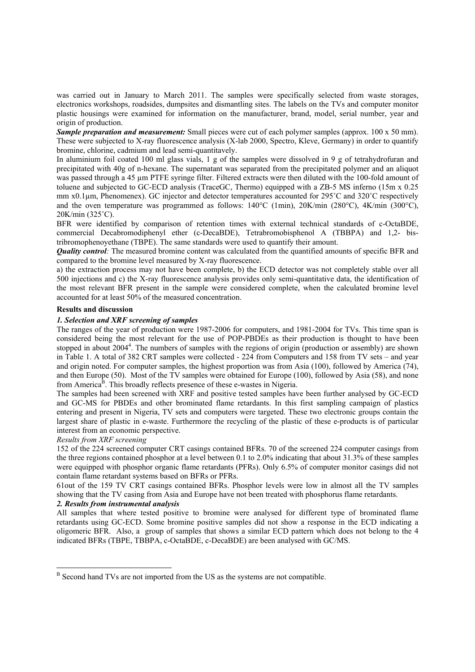was carried out in January to March 2011. The samples were specifically selected from waste storages, electronics workshops, roadsides, dumpsites and dismantling sites. The labels on the TVs and computer monitor plastic housings were examined for information on the manufacturer, brand, model, serial number, year and origin of production.

*Sample preparation and measurement:* Small pieces were cut of each polymer samples (approx. 100 x 50 mm). These were subjected to X-ray fluorescence analysis (X-lab 2000, Spectro, Kleve, Germany) in order to quantify bromine, chlorine, cadmium and lead semi-quantitavely.

In aluminium foil coated 100 ml glass vials, 1 g of the samples were dissolved in 9 g of tetrahydrofuran and precipitated with 40g of n-hexane. The supernatant was separated from the precipitated polymer and an aliquot was passed through a 45 µm PTFE syringe filter. Filtered extracts were then diluted with the 100-fold amount of toluene and subjected to GC-ECD analysis (TraceGC, Thermo) equipped with a ZB-5 MS inferno (15m x 0.25 mm x0.1µm, Phenomenex). GC injector and detector temperatures accounted for 295˚C and 320˚C respectively and the oven temperature was programmed as follows: 140°C (1min), 20K/min (280°C), 4K/min (300°C), 20K/min (325˚C).

BFR were identified by comparison of retention times with external technical standards of c-OctaBDE, commercial Decabromodiphenyl ether (c-DecaBDE), Tetrabromobisphenol A (TBBPA) and 1,2- bistribromophenoyethane (TBPE). The same standards were used to quantify their amount.

*Quality control*. The measured bromine content was calculated from the quantified amounts of specific BFR and compared to the bromine level measured by X-ray fluorescence.

a) the extraction process may not have been complete, b) the ECD detector was not completely stable over all 500 injections and c) the X-ray fluorescence analysis provides only semi-quantitative data, the identification of the most relevant BFR present in the sample were considered complete, when the calculated bromine level accounted for at least 50% of the measured concentration.

# **Results and discussion**

## *1. Selection and XRF screening of samples*

The ranges of the year of production were 1987-2006 for computers, and 1981-2004 for TVs. This time span is considered being the most relevant for the use of POP-PBDEs as their production is thought to have been stopped in about 2004<sup>4</sup>. The numbers of samples with the regions of origin (production or assembly) are shown in Table 1. A total of 382 CRT samples were collected - 224 from Computers and 158 from TV sets – and year and origin noted. For computer samples, the highest proportion was from Asia (100), followed by America (74), and then Europe (50). Most of the TV samples were obtained for Europe (100), followed by Asia (58), and none from America<sup>B</sup>. This broadly reflects presence of these e-wastes in Nigeria.

The samples had been screened with XRF and positive tested samples have been further analysed by GC-ECD and GC-MS for PBDEs and other brominated flame retardants. In this first sampling campaign of plastics entering and present in Nigeria, TV sets and computers were targeted. These two electronic groups contain the largest share of plastic in e-waste. Furthermore the recycling of the plastic of these e-products is of particular interest from an economic perspective.

### *Results from XRF screening*

 $\overline{a}$ 

152 of the 224 screened computer CRT casings contained BFRs. 70 of the screened 224 computer casings from the three regions contained phosphor at a level between 0.1 to 2.0% indicating that about 31.3% of these samples were equipped with phosphor organic flame retardants (PFRs). Only 6.5% of computer monitor casings did not contain flame retardant systems based on BFRs or PFRs.

61out of the 159 TV CRT casings contained BFRs. Phosphor levels were low in almost all the TV samples showing that the TV casing from Asia and Europe have not been treated with phosphorus flame retardants.

# *2. Results from instrumental analysis*

All samples that where tested positive to bromine were analysed for different type of brominated flame retardants using GC-ECD. Some bromine positive samples did not show a response in the ECD indicating a oligomeric BFR. Also, a group of samples that shows a similar ECD pattern which does not belong to the 4 indicated BFRs (TBPE, TBBPA, c-OctaBDE, c-DecaBDE) are been analysed with GC/MS.

<sup>&</sup>lt;sup>B</sup> Second hand TVs are not imported from the US as the systems are not compatible.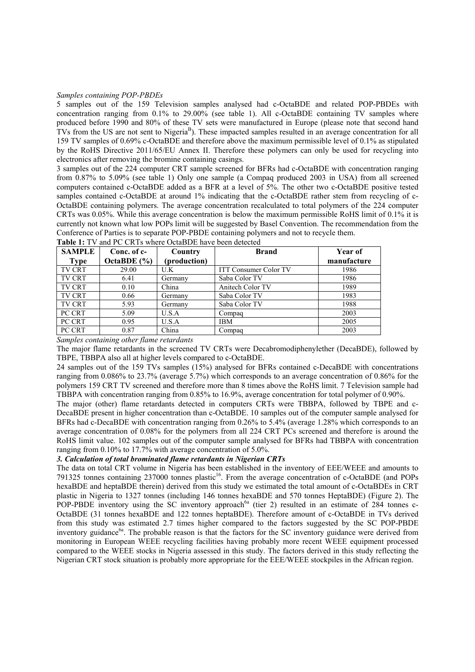### *Samples containing POP-PBDEs*

5 samples out of the 159 Television samples analysed had c-OctaBDE and related POP-PBDEs with concentration ranging from 0.1% to 29.00% (see table 1). All c-OctaBDE containing TV samples where produced before 1990 and 80% of these TV sets were manufactured in Europe (please note that second hand TVs from the US are not sent to Nigeria<sup>B</sup>). These impacted samples resulted in an average concentration for all 159 TV samples of 0.69% c-OctaBDE and therefore above the maximum permissible level of 0.1% as stipulated by the RoHS Directive 2011/65/EU Annex II. Therefore these polymers can only be used for recycling into electronics after removing the bromine containing casings.

3 samples out of the 224 computer CRT sample screened for BFRs had c-OctaBDE with concentration ranging from 0.87% to 5.09% (see table 1) Only one sample (a Compaq produced 2003 in USA) from all screened computers contained c-OctaBDE added as a BFR at a level of 5%. The other two c-OctaBDE positive tested samples contained c-OctaBDE at around 1% indicating that the c-OctaBDE rather stem from recycling of c-OctaBDE containing polymers. The average concentration recalculated to total polymers of the 224 computer CRTs was 0.05%. While this average concentration is below the maximum permissible RoHS limit of 0.1% it is currently not known what low POPs limit will be suggested by Basel Convention. The recommendation from the Conference of Parties is to separate POP-PBDE containing polymers and not to recycle them.

| <b>SAMPLE</b> | Conc. of c-                   | Country                                            | <b>Brand</b>                 | Year of     |
|---------------|-------------------------------|----------------------------------------------------|------------------------------|-------------|
| Type          | OctaBDE $(\% )$               | (production)                                       |                              | manufacture |
| <b>TV CRT</b> | 29.00                         | U.K                                                | <b>ITT Consumer Color TV</b> | 1986        |
| <b>TV CRT</b> | 6.41                          | Germany                                            | Saba Color TV                | 1986        |
| <b>TV CRT</b> | 0.10                          | China                                              | Anitech Color TV             | 1989        |
| <b>TV CRT</b> | 0.66                          | Germany                                            | Saba Color TV                | 1983        |
| <b>TV CRT</b> | 5.93                          | Germany                                            | Saba Color TV                | 1988        |
| PC CRT        | 5.09                          | U.S.A                                              | Compag                       | 2003        |
| PC CRT        | 0.95                          | U.S.A                                              | <b>IBM</b>                   | 2005        |
| PC CRT        | 0.87<br>$\alpha$ 1 1 $\alpha$ | China<br>$\sim$ $\sim$ $\sim$ $\sim$ $\sim$ $\sim$ | Compag                       | 2003        |

**Table 1:** TV and PC CRTs where OctaBDE have been detected

# *Samples containing other flame retardants*

The major flame retardants in the screened TV CRTs were Decabromodiphenylether (DecaBDE), followed by TBPE, TBBPA also all at higher levels compared to c-OctaBDE.

24 samples out of the 159 TVs samples (15%) analysed for BFRs contained c-DecaBDE with concentrations ranging from 0.086% to 23.7% (average 5.7%) which corresponds to an average concentration of 0.86% for the polymers 159 CRT TV screened and therefore more than 8 times above the RoHS limit. 7 Television sample had TBBPA with concentration ranging from 0.85% to 16.9%, average concentration for total polymer of 0.90%.

The major (other) flame retardants detected in computers CRTs were TBBPA, followed by TBPE and c-DecaBDE present in higher concentration than c-OctaBDE. 10 samples out of the computer sample analysed for BFRs had c-DecaBDE with concentration ranging from 0.26% to 5.4% (average 1.28% which corresponds to an average concentration of 0.08% for the polymers from all 224 CRT PCs screened and therefore is around the RoHS limit value. 102 samples out of the computer sample analysed for BFRs had TBBPA with concentration ranging from 0.10% to 17.7% with average concentration of 5.0%.

# *3. Calculation of total brominated flame retardants in Nigerian CRTs*

The data on total CRT volume in Nigeria has been established in the inventory of EEE/WEEE and amounts to 791325 tonnes containing 237000 tonnes plastic<sup>16</sup>. From the average concentration of c-OctaBDE (and POPs hexaBDE and heptaBDE therein) derived from this study we estimated the total amount of c-OctaBDEs in CRT plastic in Nigeria to 1327 tonnes (including 146 tonnes hexaBDE and 570 tonnes HeptaBDE) (Figure 2). The POP-PBDE inventory using the SC inventory approach<sup>6a</sup> (tier 2) resulted in an estimate of 284 tonnes c-OctaBDE (31 tonnes hexaBDE and 122 tonnes heptaBDE). Therefore amount of c-OctaBDE in TVs derived from this study was estimated 2.7 times higher compared to the factors suggested by the SC POP-PBDE inventory guidance<sup>6a</sup>. The probable reason is that the factors for the SC inventory guidance were derived from monitoring in European WEEE recycling facilities having probably more recent WEEE equipment processed compared to the WEEE stocks in Nigeria assessed in this study. The factors derived in this study reflecting the Nigerian CRT stock situation is probably more appropriate for the EEE/WEEE stockpiles in the African region.